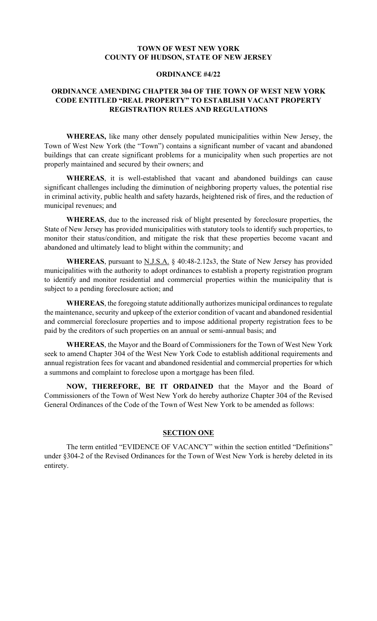## **TOWN OF WEST NEW YORK COUNTY OF HUDSON, STATE OF NEW JERSEY**

## **ORDINANCE #4/22**

# **ORDINANCE AMENDING CHAPTER 304 OF THE TOWN OF WEST NEW YORK CODE ENTITLED "REAL PROPERTY" TO ESTABLISH VACANT PROPERTY REGISTRATION RULES AND REGULATIONS**

**WHEREAS,** like many other densely populated municipalities within New Jersey, the Town of West New York (the "Town") contains a significant number of vacant and abandoned buildings that can create significant problems for a municipality when such properties are not properly maintained and secured by their owners; and

**WHEREAS**, it is well-established that vacant and abandoned buildings can cause significant challenges including the diminution of neighboring property values, the potential rise in criminal activity, public health and safety hazards, heightened risk of fires, and the reduction of municipal revenues; and

**WHEREAS**, due to the increased risk of blight presented by foreclosure properties, the State of New Jersey has provided municipalities with statutory tools to identify such properties, to monitor their status/condition, and mitigate the risk that these properties become vacant and abandoned and ultimately lead to blight within the community; and

WHEREAS, pursuant to **N.J.S.A.** § 40:48-2.12s3, the State of New Jersey has provided municipalities with the authority to adopt ordinances to establish a property registration program to identify and monitor residential and commercial properties within the municipality that is subject to a pending foreclosure action; and

WHEREAS, the foregoing statute additionally authorizes municipal ordinances to regulate the maintenance, security and upkeep of the exterior condition of vacant and abandoned residential and commercial foreclosure properties and to impose additional property registration fees to be paid by the creditors of such properties on an annual or semi-annual basis; and

**WHEREAS**, the Mayor and the Board of Commissioners for the Town of West New York seek to amend Chapter 304 of the West New York Code to establish additional requirements and annual registration fees for vacant and abandoned residential and commercial properties for which a summons and complaint to foreclose upon a mortgage has been filed.

**NOW, THEREFORE, BE IT ORDAINED** that the Mayor and the Board of Commissioners of the Town of West New York do hereby authorize Chapter 304 of the Revised General Ordinances of the Code of the Town of West New York to be amended as follows:

### **SECTION ONE**

The term entitled "EVIDENCE OF VACANCY" within the section entitled "Definitions" under §304-2 of the Revised Ordinances for the Town of West New York is hereby deleted in its entirety.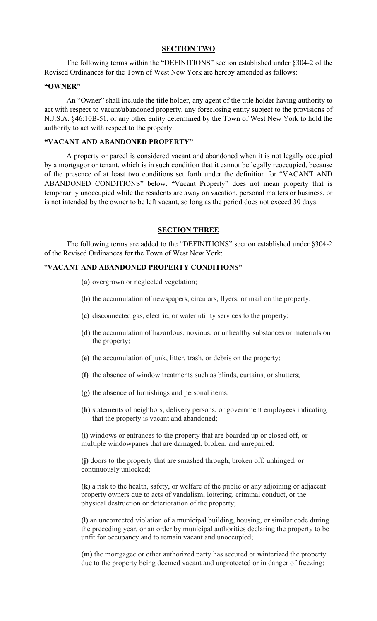### **SECTION TWO**

The following terms within the "DEFINITIONS" section established under §304-2 of the Revised Ordinances for the Town of West New York are hereby amended as follows:

#### **"OWNER"**

An "Owner" shall include the title holder, any agent of the title holder having authority to act with respect to vacant/abandoned property, any foreclosing entity subject to the provisions of N.J.S.A. §46:10B-51, or any other entity determined by the Town of West New York to hold the authority to act with respect to the property.

### **"VACANT AND ABANDONED PROPERTY"**

 A property or parcel is considered vacant and abandoned when it is not legally occupied by a mortgagor or tenant, which is in such condition that it cannot be legally reoccupied, because of the presence of at least two conditions set forth under the definition for "VACANT AND ABANDONED CONDITIONS" below. "Vacant Property" does not mean property that is temporarily unoccupied while the residents are away on vacation, personal matters or business, or is not intended by the owner to be left vacant, so long as the period does not exceed 30 days.

#### **SECTION THREE**

The following terms are added to the "DEFINITIONS" section established under §304-2 of the Revised Ordinances for the Town of West New York:

### "**VACANT AND ABANDONED PROPERTY CONDITIONS"**

- **(a)** overgrown or neglected vegetation;
- **(b)** the accumulation of newspapers, circulars, flyers, or mail on the property;
- **(c)** disconnected gas, electric, or water utility services to the property;
- **(d)** the accumulation of hazardous, noxious, or unhealthy substances or materials on the property;
- **(e)** the accumulation of junk, litter, trash, or debris on the property;
- **(f)** the absence of window treatments such as blinds, curtains, or shutters;
- **(g)** the absence of furnishings and personal items;
- **(h)** statements of neighbors, delivery persons, or government employees indicating that the property is vacant and abandoned;

**(i)** windows or entrances to the property that are boarded up or closed off, or multiple windowpanes that are damaged, broken, and unrepaired;

**(j)** doors to the property that are smashed through, broken off, unhinged, or continuously unlocked;

**(k)** a risk to the health, safety, or welfare of the public or any adjoining or adjacent property owners due to acts of vandalism, loitering, criminal conduct, or the physical destruction or deterioration of the property;

**(l)** an uncorrected violation of a municipal building, housing, or similar code during the preceding year, or an order by municipal authorities declaring the property to be unfit for occupancy and to remain vacant and unoccupied;

**(m)** the mortgagee or other authorized party has secured or winterized the property due to the property being deemed vacant and unprotected or in danger of freezing;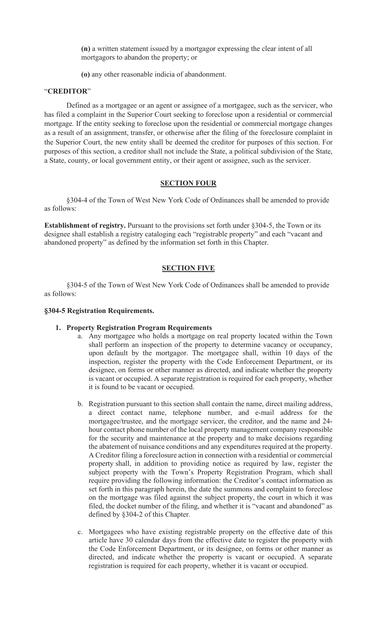**(n)** a written statement issued by a mortgagor expressing the clear intent of all mortgagors to abandon the property; or

**(o)** any other reasonable indicia of abandonment.

### "**CREDITOR**"

Defined as a mortgagee or an agent or assignee of a mortgagee, such as the servicer, who has filed a complaint in the Superior Court seeking to foreclose upon a residential or commercial mortgage. If the entity seeking to foreclose upon the residential or commercial mortgage changes as a result of an assignment, transfer, or otherwise after the filing of the foreclosure complaint in the Superior Court, the new entity shall be deemed the creditor for purposes of this section. For purposes of this section, a creditor shall not include the State, a political subdivision of the State, a State, county, or local government entity, or their agent or assignee, such as the servicer.

#### **SECTION FOUR**

§304-4 of the Town of West New York Code of Ordinances shall be amended to provide as follows:

**Establishment of registry.** Pursuant to the provisions set forth under §304-5, the Town or its designee shall establish a registry cataloging each "registrable property" and each "vacant and abandoned property" as defined by the information set forth in this Chapter.

## **SECTION FIVE**

§304-5 of the Town of West New York Code of Ordinances shall be amended to provide as follows:

#### **§304-5 Registration Requirements.**

## **1. Property Registration Program Requirements**

- a. Any mortgagee who holds a mortgage on real property located within the Town shall perform an inspection of the property to determine vacancy or occupancy, upon default by the mortgagor. The mortgagee shall, within 10 days of the inspection, register the property with the Code Enforcement Department, or its designee, on forms or other manner as directed, and indicate whether the property is vacant or occupied. A separate registration is required for each property, whether it is found to be vacant or occupied.
- b. Registration pursuant to this section shall contain the name, direct mailing address, a direct contact name, telephone number, and e-mail address for the mortgagee/trustee, and the mortgage servicer, the creditor, and the name and 24 hour contact phone number of the local property management company responsible for the security and maintenance at the property and to make decisions regarding the abatement of nuisance conditions and any expenditures required at the property. A Creditor filing a foreclosure action in connection with a residential or commercial property shall, in addition to providing notice as required by law, register the subject property with the Town's Property Registration Program, which shall require providing the following information: the Creditor's contact information as set forth in this paragraph herein, the date the summons and complaint to foreclose on the mortgage was filed against the subject property, the court in which it was filed, the docket number of the filing, and whether it is "vacant and abandoned" as defined by §304-2 of this Chapter.
- c. Mortgagees who have existing registrable property on the effective date of this article have 30 calendar days from the effective date to register the property with the Code Enforcement Department, or its designee, on forms or other manner as directed, and indicate whether the property is vacant or occupied. A separate registration is required for each property, whether it is vacant or occupied.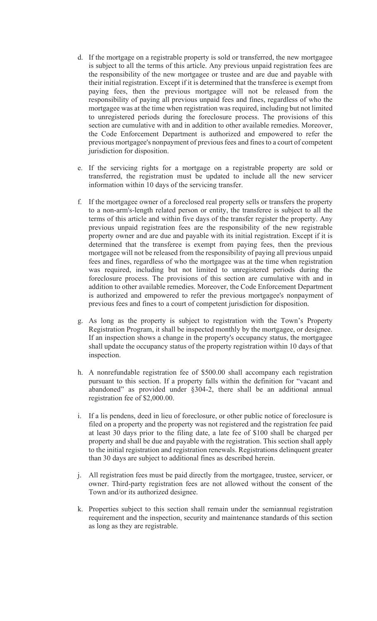- d. If the mortgage on a registrable property is sold or transferred, the new mortgagee is subject to all the terms of this article. Any previous unpaid registration fees are the responsibility of the new mortgagee or trustee and are due and payable with their initial registration. Except if it is determined that the transferee is exempt from paying fees, then the previous mortgagee will not be released from the responsibility of paying all previous unpaid fees and fines, regardless of who the mortgagee was at the time when registration was required, including but not limited to unregistered periods during the foreclosure process. The provisions of this section are cumulative with and in addition to other available remedies. Moreover, the Code Enforcement Department is authorized and empowered to refer the previous mortgagee's nonpayment of previous fees and fines to a court of competent jurisdiction for disposition.
- e. If the servicing rights for a mortgage on a registrable property are sold or transferred, the registration must be updated to include all the new servicer information within 10 days of the servicing transfer.
- f. If the mortgagee owner of a foreclosed real property sells or transfers the property to a non-arm's-length related person or entity, the transferee is subject to all the terms of this article and within five days of the transfer register the property. Any previous unpaid registration fees are the responsibility of the new registrable property owner and are due and payable with its initial registration. Except if it is determined that the transferee is exempt from paying fees, then the previous mortgagee will not be released from the responsibility of paying all previous unpaid fees and fines, regardless of who the mortgagee was at the time when registration was required, including but not limited to unregistered periods during the foreclosure process. The provisions of this section are cumulative with and in addition to other available remedies. Moreover, the Code Enforcement Department is authorized and empowered to refer the previous mortgagee's nonpayment of previous fees and fines to a court of competent jurisdiction for disposition.
- g. As long as the property is subject to registration with the Town's Property Registration Program, it shall be inspected monthly by the mortgagee, or designee. If an inspection shows a change in the property's occupancy status, the mortgagee shall update the occupancy status of the property registration within 10 days of that inspection.
- h. A nonrefundable registration fee of \$500.00 shall accompany each registration pursuant to this section. If a property falls within the definition for "vacant and abandoned" as provided under §304-2, there shall be an additional annual registration fee of \$2,000.00.
- i. If a lis pendens, deed in lieu of foreclosure, or other public notice of foreclosure is filed on a property and the property was not registered and the registration fee paid at least 30 days prior to the filing date, a late fee of \$100 shall be charged per property and shall be due and payable with the registration. This section shall apply to the initial registration and registration renewals. Registrations delinquent greater than 30 days are subject to additional fines as described herein.
- j. All registration fees must be paid directly from the mortgagee, trustee, servicer, or owner. Third-party registration fees are not allowed without the consent of the Town and/or its authorized designee.
- k. Properties subject to this section shall remain under the semiannual registration requirement and the inspection, security and maintenance standards of this section as long as they are registrable.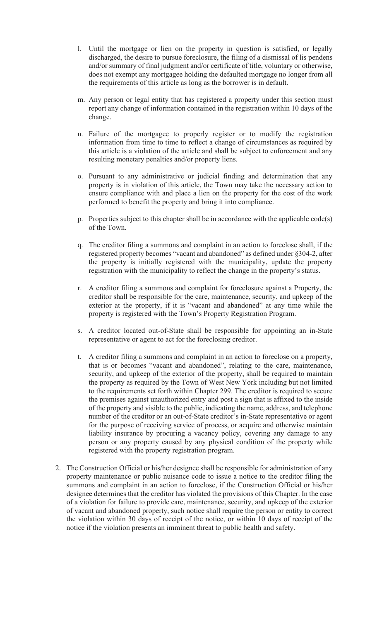- l. Until the mortgage or lien on the property in question is satisfied, or legally discharged, the desire to pursue foreclosure, the filing of a dismissal of lis pendens and/or summary of final judgment and/or certificate of title, voluntary or otherwise, does not exempt any mortgagee holding the defaulted mortgage no longer from all the requirements of this article as long as the borrower is in default.
- m. Any person or legal entity that has registered a property under this section must report any change of information contained in the registration within 10 days of the change.
- n. Failure of the mortgagee to properly register or to modify the registration information from time to time to reflect a change of circumstances as required by this article is a violation of the article and shall be subject to enforcement and any resulting monetary penalties and/or property liens.
- o. Pursuant to any administrative or judicial finding and determination that any property is in violation of this article, the Town may take the necessary action to ensure compliance with and place a lien on the property for the cost of the work performed to benefit the property and bring it into compliance.
- p. Properties subject to this chapter shall be in accordance with the applicable code(s) of the Town.
- q. The creditor filing a summons and complaint in an action to foreclose shall, if the registered property becomes "vacant and abandoned" as defined under §304-2, after the property is initially registered with the municipality, update the property registration with the municipality to reflect the change in the property's status.
- r. A creditor filing a summons and complaint for foreclosure against a Property, the creditor shall be responsible for the care, maintenance, security, and upkeep of the exterior at the property, if it is "vacant and abandoned" at any time while the property is registered with the Town's Property Registration Program.
- s. A creditor located out-of-State shall be responsible for appointing an in-State representative or agent to act for the foreclosing creditor.
- t. A creditor filing a summons and complaint in an action to foreclose on a property, that is or becomes "vacant and abandoned", relating to the care, maintenance, security, and upkeep of the exterior of the property, shall be required to maintain the property as required by the Town of West New York including but not limited to the requirements set forth within Chapter 299. The creditor is required to secure the premises against unauthorized entry and post a sign that is affixed to the inside of the property and visible to the public, indicating the name, address, and telephone number of the creditor or an out-of-State creditor's in-State representative or agent for the purpose of receiving service of process, or acquire and otherwise maintain liability insurance by procuring a vacancy policy, covering any damage to any person or any property caused by any physical condition of the property while registered with the property registration program.
- 2. The Construction Official or his/her designee shall be responsible for administration of any property maintenance or public nuisance code to issue a notice to the creditor filing the summons and complaint in an action to foreclose, if the Construction Official or his/her designee determines that the creditor has violated the provisions of this Chapter. In the case of a violation for failure to provide care, maintenance, security, and upkeep of the exterior of vacant and abandoned property, such notice shall require the person or entity to correct the violation within 30 days of receipt of the notice, or within 10 days of receipt of the notice if the violation presents an imminent threat to public health and safety.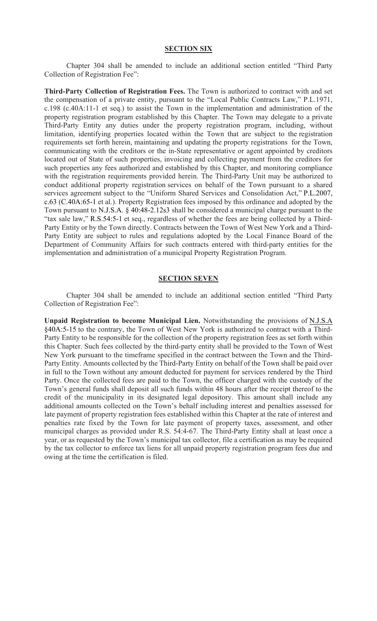#### **SECTION SIX**

Chapter 304 shall be amended to include an additional section entitled "Third Party Collection of Registration Fee":

**Third-Party Collection of Registration Fees.** The Town is authorized to contract with and set the compensation of a private entity, pursuant to the "Local Public Contracts Law," P.L.1971, c.198 (c.40A:11-1 et seq.) to assist the Town in the implementation and administration of the property registration program established by this Chapter. The Town may delegate to a private Third-Party Entity any duties under the property registration program, including, without limitation, identifying properties located within the Town that are subject to the registration requirements set forth herein, maintaining and updating the property registrations for the Town, communicating with the creditors or the in-State representative or agent appointed by creditors located out of State of such properties, invoicing and collecting payment from the creditors for such properties any fees authorized and established by this Chapter, and monitoring compliance with the registration requirements provided herein. The Third-Party Unit may be authorized to conduct additional property registration services on behalf of the Town pursuant to a shared services agreement subject to the "Uniform Shared Services and Consolidation Act," P.L.2007, c.63 (C.40A:65-1 et al.). Property Registration fees imposed by this ordinance and adopted by the Town pursuant to N.J.S.A. § 40:48-2.12s3 shall be considered a municipal charge pursuant to the "tax sale law," R.S.54:5-1 et seq., regardless of whether the fees are being collected by a Third-Party Entity or by the Town directly. Contracts between the Town of West New York and a Third-Party Entity are subject to rules and regulations adopted by the Local Finance Board of the Department of Community Affairs for such contracts entered with third-party entities for the implementation and administration of a municipal Property Registration Program.

#### **SECTION SEVEN**

Chapter 304 shall be amended to include an additional section entitled "Third Party Collection of Registration Fee":

**Unpaid Registration to become Municipal Lien.** Notwithstanding the provisions of N.J.S.A §40A:5-15 to the contrary, the Town of West New York is authorized to contract with a Third-Party Entity to be responsible for the collection of the property registration fees as set forth within this Chapter. Such fees collected by the third-party entity shall be provided to the Town of West New York pursuant to the timeframe specified in the contract between the Town and the Third-Party Entity. Amounts collected by the Third-Party Entity on behalf of the Town shall be paid over in full to the Town without any amount deducted for payment for services rendered by the Third Party. Once the collected fees are paid to the Town, the officer charged with the custody of the Town's general funds shall deposit all such funds within 48 hours after the receipt thereof to the credit of the municipality in its designated legal depository. This amount shall include any additional amounts collected on the Town's behalf including interest and penalties assessed for late payment of property registration fees established within this Chapter at the rate of interest and penalties rate fixed by the Town for late payment of property taxes, assessment, and other municipal charges as provided under R.S. 54:4-67. The Third-Party Entity shall at least once a year, or as requested by the Town's municipal tax collector, file a certification as may be required by the tax collector to enforce tax liens for all unpaid property registration program fees due and owing at the time the certification is filed.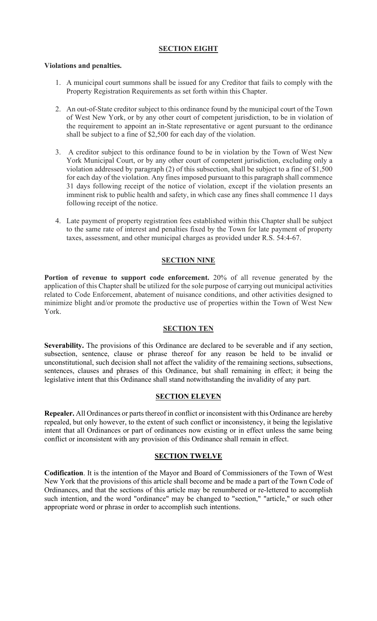## **SECTION EIGHT**

## **Violations and penalties.**

- 1. A municipal court summons shall be issued for any Creditor that fails to comply with the Property Registration Requirements as set forth within this Chapter.
- 2. An out-of-State creditor subject to this ordinance found by the municipal court of the Town of West New York, or by any other court of competent jurisdiction, to be in violation of the requirement to appoint an in-State representative or agent pursuant to the ordinance shall be subject to a fine of \$2,500 for each day of the violation.
- 3. A creditor subject to this ordinance found to be in violation by the Town of West New York Municipal Court, or by any other court of competent jurisdiction, excluding only a violation addressed by paragraph (2) of this subsection, shall be subject to a fine of \$1,500 for each day of the violation. Any fines imposed pursuant to this paragraph shall commence 31 days following receipt of the notice of violation, except if the violation presents an imminent risk to public health and safety, in which case any fines shall commence 11 days following receipt of the notice.
- 4. Late payment of property registration fees established within this Chapter shall be subject to the same rate of interest and penalties fixed by the Town for late payment of property taxes, assessment, and other municipal charges as provided under R.S. 54:4-67.

# **SECTION NINE**

**Portion of revenue to support code enforcement.** 20% of all revenue generated by the application of this Chapter shall be utilized for the sole purpose of carrying out municipal activities related to Code Enforcement, abatement of nuisance conditions, and other activities designed to minimize blight and/or promote the productive use of properties within the Town of West New York.

## **SECTION TEN**

**Severability.** The provisions of this Ordinance are declared to be severable and if any section, subsection, sentence, clause or phrase thereof for any reason be held to be invalid or unconstitutional, such decision shall not affect the validity of the remaining sections, subsections, sentences, clauses and phrases of this Ordinance, but shall remaining in effect; it being the legislative intent that this Ordinance shall stand notwithstanding the invalidity of any part.

## **SECTION ELEVEN**

**Repealer.** All Ordinances or parts thereof in conflict or inconsistent with this Ordinance are hereby repealed, but only however, to the extent of such conflict or inconsistency, it being the legislative intent that all Ordinances or part of ordinances now existing or in effect unless the same being conflict or inconsistent with any provision of this Ordinance shall remain in effect.

## **SECTION TWELVE**

**Codification**. It is the intention of the Mayor and Board of Commissioners of the Town of West New York that the provisions of this article shall become and be made a part of the Town Code of Ordinances, and that the sections of this article may be renumbered or re-lettered to accomplish such intention, and the word "ordinance" may be changed to "section," "article," or such other appropriate word or phrase in order to accomplish such intentions.